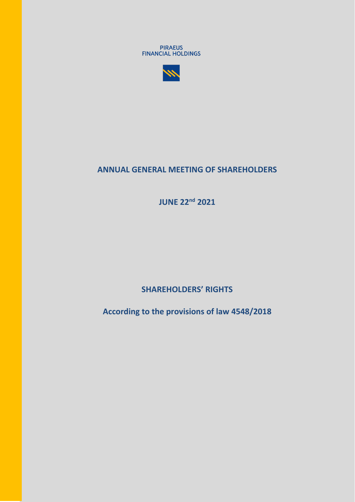



# **ANNUAL GENERAL MEETING OF SHAREHOLDERS**

**JUNE 22nd 2021**

**SHAREHOLDERS' RIGHTS** 

**According to the provisions of law 4548/2018**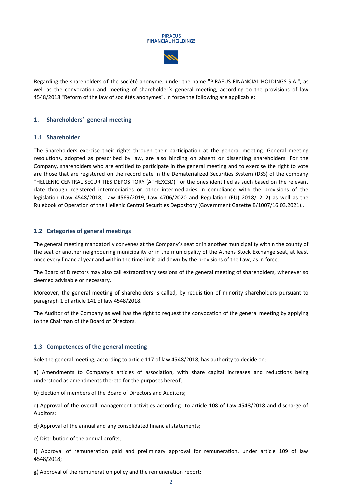



Regarding the shareholders of the société anonyme, under the name "PIRAEUS FINANCIAL HOLDINGS S.A.", as well as the convocation and meeting of shareholder's general meeting, according to the provisions of law 4548/2018 "Reform of the law of sociétés anonymes", in force the following are applicable:

#### **1. Shareholders' general meeting**

#### **1.1 Shareholder**

The Shareholders exercise their rights through their participation at the general meeting. General meeting resolutions, adopted as prescribed by law, are also binding on absent or dissenting shareholders. For the Company, shareholders who are entitled to participate in the general meeting and to exercise the right to vote are those that are registered on the record date in the Dematerialized Securities System (DSS) of the company "HELLENIC CENTRAL SECURITIES DEPOSITORY (ATHEXCSD)" or the ones identified as such based on the relevant date through registered intermediaries or other intermediaries in compliance with the provisions of the legislation (Law 4548/2018, Law 4569/2019, Law 4706/2020 and Regulation (EU) 2018/1212) as well as the Rulebook of Operation of the Hellenic Central Securities Depository (Government Gazette B/1007/16.03.2021)..

#### **1.2 Categories of general meetings**

The general meeting mandatorily convenes at the Company's seat or in another municipality within the county of the seat or another neighbouring municipality or in the municipality of the Athens Stock Exchange seat, at least once every financial year and within the time limit laid down by the provisions of the Law, as in force.

The Board of Directors may also call extraordinary sessions of the general meeting of shareholders, whenever so deemed advisable or necessary.

Moreover, the general meeting of shareholders is called, by requisition of minority shareholders pursuant to paragraph 1 of article 141 of law 4548/2018.

The Auditor of the Company as well has the right to request the convocation of the general meeting by applying to the Chairman of the Board of Directors.

#### **1.3 Competences of the general meeting**

Sole the general meeting, according to article 117 of law 4548/2018, has authority to decide on:

a) Amendments to Company's articles of association, with share capital increases and reductions being understood as amendments thereto for the purposes hereof;

b) Election of members of the Board of Directors and Auditors;

c) Approval of the overall management activities according to article 108 of Law 4548/2018 and discharge of Auditors;

d) Approval of the annual and any consolidated financial statements;

e) Distribution of the annual profits;

f) Approval of remuneration paid and preliminary approval for remuneration, under article 109 of law 4548/2018;

g) Approval of the remuneration policy and the remuneration report;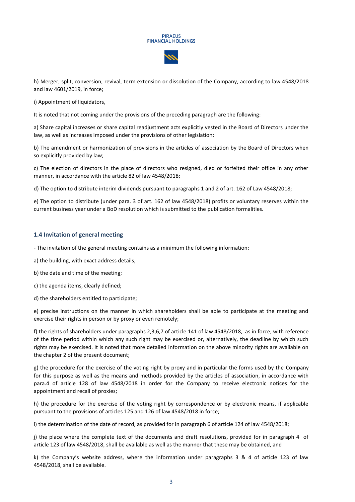#### **PIRAEUS FINANCIAL HOLDINGS**



h) Merger, split, conversion, revival, term extension or dissolution of the Company, according to law 4548/2018 and law 4601/2019, in force;

i) Appointment of liquidators,

It is noted that not coming under the provisions of the preceding paragraph are the following:

a) Share capital increases or share capital readjustment acts explicitly vested in the Board of Directors under the law, as well as increases imposed under the provisions of other legislation;

b) The amendment or harmonization of provisions in the articles of association by the Board of Directors when so explicitly provided by law;

c) The election of directors in the place of directors who resigned, died or forfeited their office in any other manner, in accordance with the article 82 of law 4548/2018;

d) The option to distribute interim dividends pursuant to paragraphs 1 and 2 of art. 162 of Law 4548/2018;

e) The option to distribute (under para. 3 of art. 162 of law 4548/2018) profits or voluntary reserves within the current business year under a BoD resolution which is submitted to the publication formalities.

#### **1.4 Invitation of general meeting**

- The invitation of the general meeting contains as a minimum the following information:

a) the building, with exact address details;

b) the date and time of the meeting;

c) the agenda items, clearly defined;

d) the shareholders entitled to participate;

e) precise instructions on the manner in which shareholders shall be able to participate at the meeting and exercise their rights in person or by proxy or even remotely;

f) the rights of shareholders under paragraphs 2,3,6,7 of article 141 of law 4548/2018, as in force, with reference of the time period within which any such right may be exercised or, alternatively, the deadline by which such rights may be exercised. It is noted that more detailed information on the above minority rights are available on the chapter 2 of the present document;

g) the procedure for the exercise of the voting right by proxy and in particular the forms used by the Company for this purpose as well as the means and methods provided by the articles of association, in accordance with para.4 of article 128 of law 4548/2018 in order for the Company to receive electronic notices for the appointment and recall of proxies;

h) the procedure for the exercise of the voting right by correspondence or by electronic means, if applicable pursuant to the provisions of articles 125 and 126 of law 4548/2018 in force;

i) the determination of the date of record, as provided for in paragraph 6 of article 124 of law 4548/2018;

j) the place where the complete text of the documents and draft resolutions, provided for in paragraph 4 of article 123 of law 4548/2018, shall be available as well as the manner that these may be obtained, and

k) the Company's website address, where the information under paragraphs 3 & 4 of article 123 of law 4548/2018, shall be available.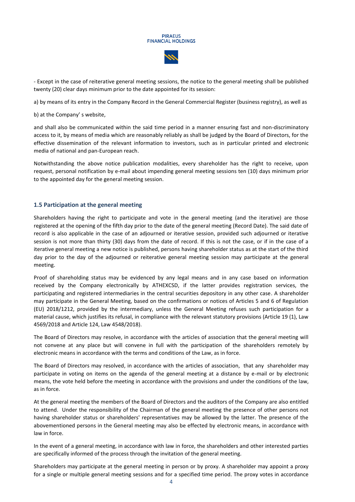- Except in the case of reiterative general meeting sessions, the notice to the general meeting shall be published twenty (20) clear days minimum prior to the date appointed for its session:

a) by means of its entry in the Company Record in the General Commercial Register (business registry), as well as

b) at the Company' s website,

and shall also be communicated within the said time period in a manner ensuring fast and non-discriminatory access to it, by means of media which are reasonably reliably as shall be judged by the Board of Directors, for the effective dissemination of the relevant information to investors, such as in particular printed and electronic media of national and pan-European reach.

Notwithstanding the above notice publication modalities, every shareholder has the right to receive, upon request, personal notification by e-mail about impending general meeting sessions ten (10) days minimum prior to the appointed day for the general meeting session.

#### **1.5 Participation at the general meeting**

Shareholders having the right to participate and vote in the general meeting (and the iterative) are those registered at the opening of the fifth day prior to the date of the general meeting (Record Date). The said date of record is also applicable in the case of an adjourned or iterative session, provided such adjourned or iterative session is not more than thirty (30) days from the date of record. If this is not the case, or if in the case of a iterative general meeting a new notice is published, persons having shareholder status as at the start of the third day prior to the day of the adjourned or reiterative general meeting session may participate at the general meeting.

Proof of shareholding status may be evidenced by any legal means and in any case based on information received by the Company electronically by ATHEXCSD, if the latter provides registration services, the participating and registered intermediaries in the central securities depository in any other case. A shareholder may participate in the General Meeting, based on the confirmations or notices of Articles 5 and 6 of Regulation (EU) 2018/1212, provided by the intermediary, unless the General Meeting refuses such participation for a material cause, which justifies its refusal, in compliance with the relevant statutory provisions (Article 19 (1), Law 4569/2018 and Article 124, Law 4548/2018).

The Board of Directors may resolve, in accordance with the articles of association that the general meeting will not convene at any place but will convene in full with the participation of the shareholders remotely by electronic means in accordance with the terms and conditions of the Law, as in force.

The Board of Directors may resolved, in accordance with the articles of association, that any shareholder may participate in voting on items on the agenda of the general meeting at a distance by e-mail or by electronic means, the vote held before the meeting in accordance with the provisions and under the conditions of the law, as in force.

At the general meeting the members of the Board of Directors and the auditors of the Company are also entitled to attend. Under the responsibility of the Chairman of the general meeting the presence of other persons not having shareholder status or shareholders' representatives may be allowed by the latter. The presence of the abovementioned persons in the General meeting may also be effected by electronic means, in accordance with law in force.

In the event of a general meeting, in accordance with law in force, the shareholders and other interested parties are specifically informed of the process through the invitation of the general meeting.

Shareholders may participate at the general meeting in person or by proxy. A shareholder may appoint a proxy for a single or multiple general meeting sessions and for a specified time period. The proxy votes in accordance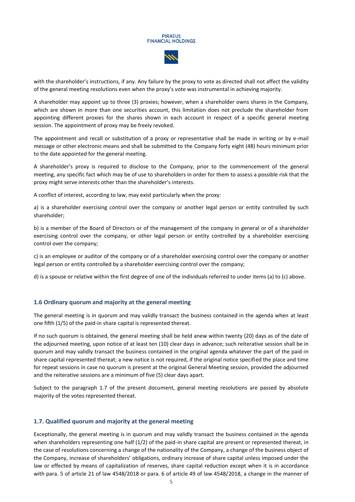

with the shareholder's instructions, if any. Any failure by the proxy to vote as directed shall not affect the validity of the general meeting resolutions even when the proxy's vote was instrumental in achieving majority.

A shareholder may appoint up to three (3) proxies; however, when a shareholder owns shares in the Company, which are shown in more than one securities account, this limitation does not preclude the shareholder from appointing different proxies for the shares shown in each account in respect of a specific general meeting session. The appointment of proxy may be freely revoked.

The appointment and recall or substitution of a proxy or representative shall be made in writing or by e-mail message or other electronic means and shall be submitted to the Company forty eight (48) hours minimum prior to the date appointed for the general meeting.

A shareholder's proxy is required to disclose to the Company, prior to the commencement of the general meeting, any specific fact which may be of use to shareholders in order for them to assess a possible risk that the proxy might serve interests other than the shareholder's interests.

A conflict of interest, according to law, may exist particularly when the proxy:

a) is a shareholder exercising control over the company or another legal person or entity controlled by such shareholder;

b) is a member of the Board of Directors or of the management of the company in general or of a shareholder exercising control over the company, or other legal person or entity controlled by a shareholder exercising control over the company;

c) is an employee or auditor of the company or of a shareholder exercising control over the company or another legal person or entity controlled by a shareholder exercising control over the company;

d) is a spouse or relative within the first degree of one of the individuals referred to under items (a) to (c) above.

#### **1.6 Ordinary quorum and majority at the general meeting**

The general meeting is in quorum and may validly transact the business contained in the agenda when at least one fifth (1/5) of the paid-in share capital is represented thereat.

If no such quorum is obtained, the general meeting shall be held anew within twenty (20) days as of the date of the adjourned meeting, upon notice of at least ten (10) clear days in advance; such reiterative session shall be in quorum and may validly transact the business contained in the original agenda whatever the part of the paid-in share capital represented thereat; a new notice is not required, if the original notice specified the place and time for repeat sessions in case no quorum is present at the original General Meeting session, provided the adjourned and the reiterative sessions are a minimum of five (5) clear days apart.

Subject to the paragraph 1.7 of the present document, general meeting resolutions are passed by absolute majority of the votes represented thereat.

#### **1.7. Qualified quorum and majority at the general meeting**

Exceptionally, the general meeting is in quorum and may validly transact the business contained in the agenda when shareholders representing one half (1/2) of the paid-in share capital are present or represented thereat, in the case of resolutions concerning a change of the nationality of the Company, a change of the business object of the Company, increase of shareholders' obligations, ordinary increase of share capital unless imposed under the law or effected by means of capitalization of reserves, share capital reduction except when it is in accordance with para. 5 of article 21 of law 4548/2018 or para. 6 of article 49 of law 4548/2018, a change in the manner of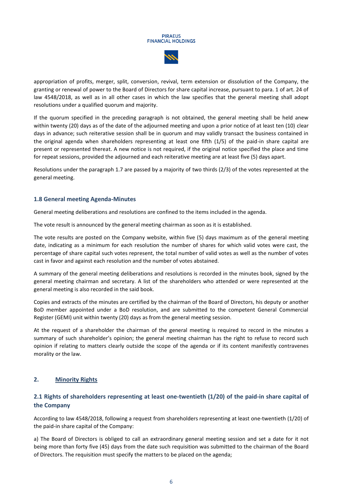appropriation of profits, merger, split, conversion, revival, term extension or dissolution of the Company, the granting or renewal of power to the Board of Directors for share capital increase, pursuant to para. 1 of art. 24 of law 4548/2018, as well as in all other cases in which the law specifies that the general meeting shall adopt resolutions under a qualified quorum and majority.

If the quorum specified in the preceding paragraph is not obtained, the general meeting shall be held anew within twenty (20) days as of the date of the adjourned meeting and upon a prior notice of at least ten (10) clear days in advance; such reiterative session shall be in quorum and may validly transact the business contained in the original agenda when shareholders representing at least one fifth (1/5) of the paid-in share capital are present or represented thereat. A new notice is not required, if the original notice specified the place and time for repeat sessions, provided the adjourned and each reiterative meeting are at least five (5) days apart.

Resolutions under the paragraph 1.7 are passed by a majority of two thirds (2/3) of the votes represented at the general meeting.

## **1.8 General meeting Agenda-Minutes**

General meeting deliberations and resolutions are confined to the items included in the agenda.

The vote result is announced by the general meeting chairman as soon as it is established.

The vote results are posted on the Company website, within five (5) days maximum as of the general meeting date, indicating as a minimum for each resolution the number of shares for which valid votes were cast, the percentage of share capital such votes represent, the total number of valid votes as well as the number of votes cast in favor and against each resolution and the number of votes abstained.

A summary of the general meeting deliberations and resolutions is recorded in the minutes book, signed by the general meeting chairman and secretary. A list of the shareholders who attended or were represented at the general meeting is also recorded in the said book.

Copies and extracts of the minutes are certified by the chairman of the Board of Directors, his deputy or another BoD member appointed under a BoD resolution, and are submitted to the competent General Commercial Register (GEMI) unit within twenty (20) days as from the general meeting session.

At the request of a shareholder the chairman of the general meeting is required to record in the minutes a summary of such shareholder's opinion; the general meeting chairman has the right to refuse to record such opinion if relating to matters clearly outside the scope of the agenda or if its content manifestly contravenes morality or the law.

## **2. Minority Rights**

# **2.1 Rights of shareholders representing at least one-twentieth (1/20) of the paid-in share capital of the Company**

According to law 4548/2018, following a request from shareholders representing at least one-twentieth (1/20) of the paid-in share capital of the Company:

a) The Board of Directors is obliged to call an extraordinary general meeting session and set a date for it not being more than forty five (45) days from the date such requisition was submitted to the chairman of the Board of Directors. The requisition must specify the matters to be placed on the agenda;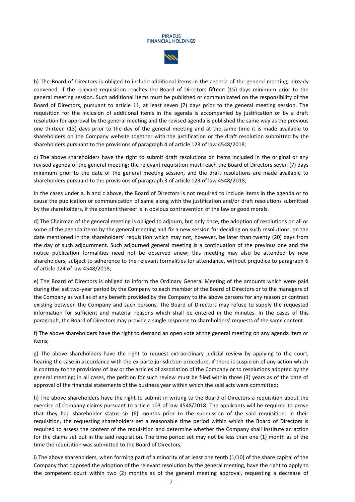

b) The Board of Directors is obliged to include additional items in the agenda of the general meeting, already convened, if the relevant requisition reaches the Board of Directors fifteen (15) days minimum prior to the general meeting session. Such additional items must be published or communicated on the responsibility of the Board of Directors, pursuant to article 11, at least seven (7) days prior to the general meeting session. The requisition for the inclusion of additional items in the agenda is accompanied by justification or by a draft resolution for approval by the general meeting and the revised agenda is published the same way as the previous one thirteen (13) days prior to the day of the general meeting and at the same time it is made available to shareholders on the Company website together with the justification or the draft resolution submitted by the shareholders pursuant to the provisions of paragraph 4 of article 123 of law 4548/2018;

c) The above shareholders have the right to submit draft resolutions on items included in the original or any revised agenda of the general meeting; the relevant requisition must reach the Board of Directors seven (7) days minimum prior to the date of the general meeting session, and the draft resolutions are made available to shareholders pursuant to the provisions of paragraph 3 of article 123 of law 4548/2018;

In the cases under a, b and c above, the Board of Directors is not required to include items in the agenda or to cause the publication or communication of same along with the justification and/or draft resolutions submitted by the shareholders, if the content thereof is in obvious contravention of the law or good morals.

d) The Chairman of the general meeting is obliged to adjourn, but only once, the adoption of resolutions on all or some of the agenda items by the general meeting and fix a new session for deciding on such resolutions, on the date mentioned in the shareholders' requisition which may not, however, be later than twenty (20) days from the day of such adjournment. Such adjourned general meeting is a continuation of the previous one and the notice publication formalities need not be observed anew; this meeting may also be attended by new shareholders, subject to adherence to the relevant formalities for attendance, without prejudice to paragraph 6 of article 124 of law 4548/2018;

e) The Board of Directors is obliged to inform the Ordinary General Meeting of the amounts which were paid during the last two-year period by the Company to each member of the Board of Directors or to the managers of the Company as well as of any benefit provided by the Company to the above persons for any reason or contract existing between the Company and such persons. The Board of Directors may refuse to supply the requested information for sufficient and material reasons which shall be entered in the minutes. In the cases of this paragraph, the Board of Directors may provide a single response to shareholders' requests of the same content.

f) The above shareholders have the right to demand an open vote at the general meeting on any agenda item or items;

g) The above shareholders have the right to request extraordinary judicial review by applying to the court, hearing the case in accordance with the ex parte jurisdiction procedure, if there is suspicion of any action which is contrary to the provisions of law or the articles of association of the Company or to resolutions adopted by the general meeting; in all cases, the petition for such review must be filed within three (3) years as of the date of approval of the financial statements of the business year within which the said acts were committed;

h) The above shareholders have the right to submit in writing to the Board of Directors a requisition about the exercise of Company claims pursuant to article 103 of law 4548/2018. The applicants will be required to prove that they had shareholder status six (6) months prior to the submission of the said requisition. In their requisition, the requesting shareholders set a reasonable time period within which the Board of Directors is required to assess the content of the requisition and determine whether the Company shall institute an action for the claims set out in the said requisition. The time period set may not be less than one (1) month as of the time the requisition was submitted to the Board of Directors;

i) The above shareholders, when forming part of a minority of at least one tenth (1/10) of the share capital of the Company that opposed the adoption of the relevant resolution by the general meeting, have the right to apply to the competent court within two (2) months as of the general meeting approval, requesting a decrease of